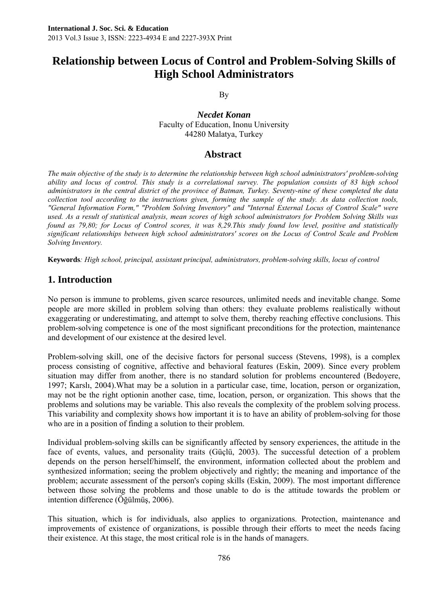# **Relationship between Locus of Control and Problem-Solving Skills of High School Administrators**

By

*Necdet Konan* Faculty of Education, Inonu University 44280 Malatya, Turkey

### **Abstract**

*The main objective of the study is to determine the relationship between high school administrators' problem-solving ability and locus of control. This study is a correlational survey. The population consists of 83 high school administrators in the central district of the province of Batman, Turkey. Seventy-nine of these completed the data collection tool according to the instructions given, forming the sample of the study. As data collection tools, "General Information Form," "Problem Solving Inventory" and "Internal External Locus of Control Scale" were used. As a result of statistical analysis, mean scores of high school administrators for Problem Solving Skills was found as 79,80; for Locus of Control scores, it was 8,29.This study found low level, positive and statistically significant relationships between high school administrators' scores on the Locus of Control Scale and Problem Solving Inventory.* 

**Keywords***: High school, principal, assistant principal, administrators, problem-solving skills, locus of control* 

## **1. Introduction**

No person is immune to problems, given scarce resources, unlimited needs and inevitable change. Some people are more skilled in problem solving than others: they evaluate problems realistically without exaggerating or underestimating, and attempt to solve them, thereby reaching effective conclusions. This problem-solving competence is one of the most significant preconditions for the protection, maintenance and development of our existence at the desired level.

Problem-solving skill, one of the decisive factors for personal success (Stevens, 1998), is a complex process consisting of cognitive, affective and behavioral features (Eskin, 2009). Since every problem situation may differ from another, there is no standard solution for problems encountered (Bedoyere, 1997; Karslı, 2004).What may be a solution in a particular case, time, location, person or organization, may not be the right optionin another case, time, location, person, or organization. This shows that the problems and solutions may be variable. This also reveals the complexity of the problem solving process. This variability and complexity shows how important it is to have an ability of problem-solving for those who are in a position of finding a solution to their problem.

Individual problem-solving skills can be significantly affected by sensory experiences, the attitude in the face of events, values, and personality traits (Güçlü, 2003). The successful detection of a problem depends on the person herself/himself, the environment, information collected about the problem and synthesized information; seeing the problem objectively and rightly; the meaning and importance of the problem; accurate assessment of the person's coping skills (Eskin, 2009). The most important difference between those solving the problems and those unable to do is the attitude towards the problem or intention difference (Öğülmüş, 2006).

This situation, which is for individuals, also applies to organizations. Protection, maintenance and improvements of existence of organizations, is possible through their efforts to meet the needs facing their existence. At this stage, the most critical role is in the hands of managers.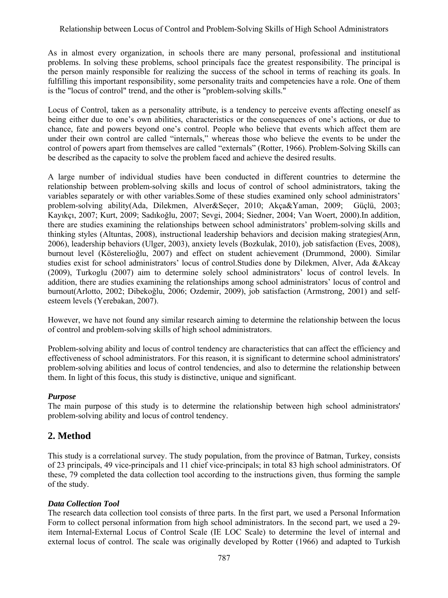As in almost every organization, in schools there are many personal, professional and institutional problems. In solving these problems, school principals face the greatest responsibility. The principal is the person mainly responsible for realizing the success of the school in terms of reaching its goals. In fulfilling this important responsibility, some personality traits and competencies have a role. One of them is the "locus of control" trend, and the other is "problem-solving skills."

Locus of Control, taken as a personality attribute, is a tendency to perceive events affecting oneself as being either due to one's own abilities, characteristics or the consequences of one's actions, or due to chance, fate and powers beyond one's control. People who believe that events which affect them are under their own control are called "internals," whereas those who believe the events to be under the control of powers apart from themselves are called "externals" (Rotter, 1966). Problem-Solving Skills can be described as the capacity to solve the problem faced and achieve the desired results.

A large number of individual studies have been conducted in different countries to determine the relationship between problem-solving skills and locus of control of school administrators, taking the variables separately or with other variables.Some of these studies examined only school administrators' problem-solving ability(Ada, Dilekmen, Alver&Seçer, 2010; Akça&Yaman, 2009; Güçlü, 2003; Kayıkçı, 2007; Kurt, 2009; Sadıkoğlu, 2007; Sevgi, 2004; Siedner, 2004; Van Woert, 2000).In addition, there are studies examining the relationships between school administrators' problem-solving skills and thinking styles (Altuntas, 2008), instructional leadership behaviors and decision making strategies(Arın, 2006), leadership behaviors (Ulger, 2003), anxiety levels (Bozkulak, 2010), job satisfaction (Eves, 2008), burnout level (Kösterelioğlu, 2007) and effect on student achievement (Drummond, 2000). Similar studies exist for school administrators' locus of control.Studies done by Dilekmen, Alver, Ada &Akcay (2009), Turkoglu (2007) aim to determine solely school administrators' locus of control levels. In addition, there are studies examining the relationships among school administrators' locus of control and burnout(Arlotto, 2002; Dibekoğlu, 2006; Ozdemir, 2009), job satisfaction (Armstrong, 2001) and selfesteem levels (Yerebakan, 2007).

However, we have not found any similar research aiming to determine the relationship between the locus of control and problem-solving skills of high school administrators.

Problem-solving ability and locus of control tendency are characteristics that can affect the efficiency and effectiveness of school administrators. For this reason, it is significant to determine school administrators' problem-solving abilities and locus of control tendencies, and also to determine the relationship between them. In light of this focus, this study is distinctive, unique and significant.

## *Purpose*

The main purpose of this study is to determine the relationship between high school administrators' problem-solving ability and locus of control tendency.

# **2. Method**

This study is a correlational survey. The study population, from the province of Batman, Turkey, consists of 23 principals, 49 vice-principals and 11 chief vice-principals; in total 83 high school administrators. Of these, 79 completed the data collection tool according to the instructions given, thus forming the sample of the study.

#### *Data Collection Tool*

The research data collection tool consists of three parts. In the first part, we used a Personal Information Form to collect personal information from high school administrators. In the second part, we used a 29 item Internal-External Locus of Control Scale (IE LOC Scale) to determine the level of internal and external locus of control. The scale was originally developed by Rotter (1966) and adapted to Turkish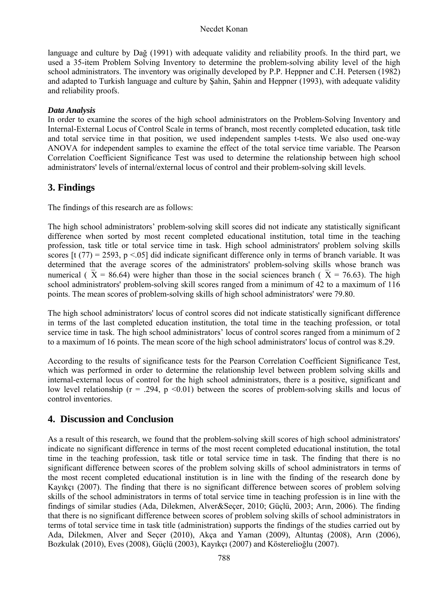#### Necdet Konan

language and culture by Dağ (1991) with adequate validity and reliability proofs. In the third part, we used a 35-item Problem Solving Inventory to determine the problem-solving ability level of the high school administrators. The inventory was originally developed by P.P. Heppner and C.H. Petersen (1982) and adapted to Turkish language and culture by Şahin, Şahin and Heppner (1993), with adequate validity and reliability proofs.

#### *Data Analysis*

In order to examine the scores of the high school administrators on the Problem-Solving Inventory and Internal-External Locus of Control Scale in terms of branch, most recently completed education, task title and total service time in that position, we used independent samples t-tests. We also used one-way ANOVA for independent samples to examine the effect of the total service time variable. The Pearson Correlation Coefficient Significance Test was used to determine the relationship between high school administrators' levels of internal/external locus of control and their problem-solving skill levels.

# **3. Findings**

The findings of this research are as follows:

The high school administrators' problem-solving skill scores did not indicate any statistically significant difference when sorted by most recent completed educational institution, total time in the teaching profession, task title or total service time in task. High school administrators' problem solving skills scores  $[t (77) = 2593, p < .05]$  did indicate significant difference only in terms of branch variable. It was determined that the average scores of the administrators' problem-solving skills whose branch was numerical ( $\bar{X}$  = 86.64) were higher than those in the social sciences branch ( $\bar{X}$  = 76.63). The high school administrators' problem-solving skill scores ranged from a minimum of 42 to a maximum of 116 points. The mean scores of problem-solving skills of high school administrators' were 79.80.

The high school administrators' locus of control scores did not indicate statistically significant difference in terms of the last completed education institution, the total time in the teaching profession, or total service time in task. The high school administrators' locus of control scores ranged from a minimum of 2 to a maximum of 16 points. The mean score of the high school administrators' locus of control was 8.29.

According to the results of significance tests for the Pearson Correlation Coefficient Significance Test, which was performed in order to determine the relationship level between problem solving skills and internal-external locus of control for the high school administrators, there is a positive, significant and low level relationship ( $r = .294$ ,  $p \le 0.01$ ) between the scores of problem-solving skills and locus of control inventories.

## **4. Discussion and Conclusion**

As a result of this research, we found that the problem-solving skill scores of high school administrators' indicate no significant difference in terms of the most recent completed educational institution, the total time in the teaching profession, task title or total service time in task. The finding that there is no significant difference between scores of the problem solving skills of school administrators in terms of the most recent completed educational institution is in line with the finding of the research done by Kayıkçı (2007). The finding that there is no significant difference between scores of problem solving skills of the school administrators in terms of total service time in teaching profession is in line with the findings of similar studies (Ada, Dilekmen, Alver&Seçer, 2010; Güçlü, 2003; Arın, 2006). The finding that there is no significant difference between scores of problem solving skills of school administrators in terms of total service time in task title (administration) supports the findings of the studies carried out by Ada, Dilekmen, Alver and Seçer (2010), Akça and Yaman (2009), Altuntaş (2008), Arın (2006), Bozkulak (2010), Eves (2008), Güçlü (2003), Kayıkçı (2007) and Kösterelioğlu (2007).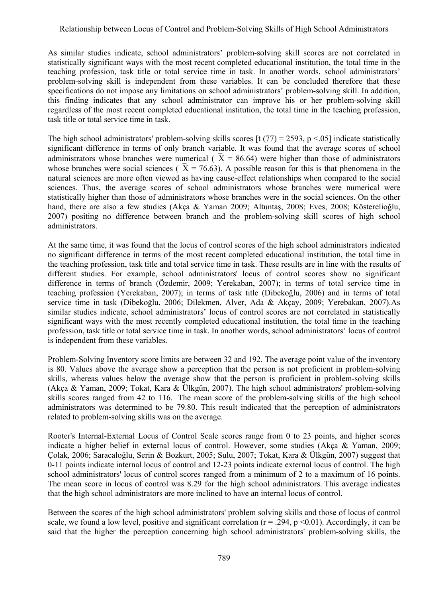As similar studies indicate, school administrators' problem-solving skill scores are not correlated in statistically significant ways with the most recent completed educational institution, the total time in the teaching profession, task title or total service time in task. In another words, school administrators' problem-solving skill is independent from these variables. It can be concluded therefore that these specifications do not impose any limitations on school administrators' problem-solving skill. In addition, this finding indicates that any school administrator can improve his or her problem-solving skill regardless of the most recent completed educational institution, the total time in the teaching profession, task title or total service time in task.

The high school administrators' problem-solving skills scores  $\left[\frac{t(77)}{2}\right]$  = 2593, p < 05] indicate statistically significant difference in terms of only branch variable. It was found that the average scores of school administrators whose branches were numerical ( $X = 86.64$ ) were higher than those of administrators whose branches were social sciences ( $\overline{X} = 76.63$ ). A possible reason for this is that phenomena in the natural sciences are more often viewed as having cause-effect relationships when compared to the social sciences. Thus, the average scores of school administrators whose branches were numerical were statistically higher than those of administrators whose branches were in the social sciences. On the other hand, there are also a few studies (Akça & Yaman 2009; Altuntaş, 2008; Eves, 2008; Kösterelioğlu, 2007) positing no difference between branch and the problem-solving skill scores of high school administrators.

At the same time, it was found that the locus of control scores of the high school administrators indicated no significant difference in terms of the most recent completed educational institution, the total time in the teaching profession, task title and total service time in task. These results are in line with the results of different studies. For example, school administrators' locus of control scores show no significant difference in terms of branch (Özdemir, 2009; Yerekaban, 2007); in terms of total service time in teaching profession (Yerekaban, 2007); in terms of task title (Dibekoğlu, 2006) and in terms of total service time in task (Dibekoğlu, 2006; Dilekmen, Alver, Ada & Akçay, 2009; Yerebakan, 2007).As similar studies indicate, school administrators' locus of control scores are not correlated in statistically significant ways with the most recently completed educational institution, the total time in the teaching profession, task title or total service time in task. In another words, school administrators' locus of control is independent from these variables.

Problem-Solving Inventory score limits are between 32 and 192. The average point value of the inventory is 80. Values above the average show a perception that the person is not proficient in problem-solving skills, whereas values below the average show that the person is proficient in problem-solving skills (Akça & Yaman, 2009; Tokat, Kara & Ülkgün, 2007). The high school administrators' problem-solving skills scores ranged from 42 to 116. The mean score of the problem-solving skills of the high school administrators was determined to be 79.80. This result indicated that the perception of administrators related to problem-solving skills was on the average.

Rooter's Internal-External Locus of Control Scale scores range from 0 to 23 points, and higher scores indicate a higher belief in external locus of control. However, some studies (Akça & Yaman, 2009; Çolak, 2006; Saracaloğlu, Serin & Bozkurt, 2005; Sulu, 2007; Tokat, Kara & Ülkgün, 2007) suggest that 0-11 points indicate internal locus of control and 12-23 points indicate external locus of control. The high school administrators' locus of control scores ranged from a minimum of 2 to a maximum of 16 points. The mean score in locus of control was 8.29 for the high school administrators. This average indicates that the high school administrators are more inclined to have an internal locus of control.

Between the scores of the high school administrators' problem solving skills and those of locus of control scale, we found a low level, positive and significant correlation  $(r = .294, p < 0.01)$ . Accordingly, it can be said that the higher the perception concerning high school administrators' problem-solving skills, the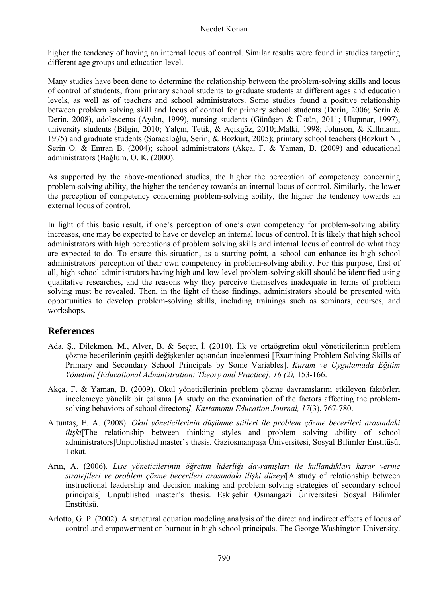higher the tendency of having an internal locus of control. Similar results were found in studies targeting different age groups and education level.

Many studies have been done to determine the relationship between the problem-solving skills and locus of control of students, from primary school students to graduate students at different ages and education levels, as well as of teachers and school administrators. Some studies found a positive relationship between problem solving skill and locus of control for primary school students (Derin, 2006; Serin & Derin, 2008), adolescents (Aydın, 1999), nursing students (Günüşen & Üstün, 2011; Ulupınar, 1997), university students (Bilgin, 2010; Yalçın, Tetik, & Açıkgöz, 2010;.Malki, 1998; Johnson, & Killmann, 1975) and graduate students (Saracaloğlu, Serin, & Bozkurt, 2005); primary school teachers (Bozkurt N., Serin O. & Emran B. (2004); school administrators (Akça, F. & Yaman, B. (2009) and educational administrators (Bağlum, O. K. (2000).

As supported by the above-mentioned studies, the higher the perception of competency concerning problem-solving ability, the higher the tendency towards an internal locus of control. Similarly, the lower the perception of competency concerning problem-solving ability, the higher the tendency towards an external locus of control.

In light of this basic result, if one's perception of one's own competency for problem-solving ability increases, one may be expected to have or develop an internal locus of control. It is likely that high school administrators with high perceptions of problem solving skills and internal locus of control do what they are expected to do. To ensure this situation, as a starting point, a school can enhance its high school administrators' perception of their own competency in problem-solving ability. For this purpose, first of all, high school administrators having high and low level problem-solving skill should be identified using qualitative researches, and the reasons why they perceive themselves inadequate in terms of problem solving must be revealed. Then, in the light of these findings, administrators should be presented with opportunities to develop problem-solving skills, including trainings such as seminars, courses, and workshops.

# **References**

- Ada, Ş., Dilekmen, M., Alver, B. & Seçer, İ. (2010). İlk ve ortaöğretim okul yöneticilerinin problem çözme becerilerinin çeşitli değişkenler açısından incelenmesi [Examining Problem Solving Skills of Primary and Secondary School Principals by Some Variables]. *Kuram ve Uygulamada Eğitim Yönetimi [Educational Administration: Theory and Practice], 16 (2),* 153-166.
- Akça, F. & Yaman, B. (2009). Okul yöneticilerinin problem çözme davranışlarını etkileyen faktörleri incelemeye yönelik bir çalışma [A study on the examination of the factors affecting the problemsolving behaviors of school directors*], Kastamonu Education Journal, 17*(3), 767-780.
- Altuntaş, E. A. (2008). *Okul yöneticilerinin düşünme stilleri ile problem çözme becerileri arasındaki ilişki*[The relationship between thinking styles and problem solving ability of school administrators]Unpublished master's thesis. Gaziosmanpaşa Üniversitesi, Sosyal Bilimler Enstitüsü, Tokat.
- Arın, A. (2006). *Lise yöneticilerinin öğretim liderliği davranışları ile kullandıkları karar verme stratejileri ve problem çözme becerileri arasındaki ilişki düzeyi*[A study of relationship between instructional leadership and decision making and problem solving strategies of secondary school principals] Unpublished master's thesis. Eskişehir Osmangazi Üniversitesi Sosyal Bilimler Enstitüsü.
- Arlotto, G. P. (2002). A structural equation modeling analysis of the direct and indirect effects of locus of control and empowerment on burnout in high school principals. The George Washington University.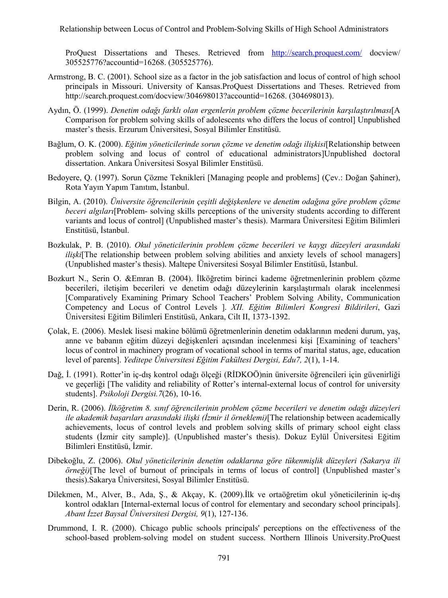Relationship between Locus of Control and Problem-Solving Skills of High School Administrators

ProQuest Dissertations and Theses. Retrieved from http://search.proquest.com/ docview/ 305525776?accountid=16268. (305525776).

- Armstrong, B. C. (2001). School size as a factor in the job satisfaction and locus of control of high school principals in Missouri. University of Kansas.ProQuest Dissertations and Theses. Retrieved from http://search.proquest.com/docview/304698013?accountid=16268. (304698013).
- Aydın, Ö. (1999). *Denetim odağı farklı olan ergenlerin problem çözme becerilerinin karşılaştırılması*[A Comparison for problem solving skills of adolescents who differs the locus of control] Unpublished master's thesis. Erzurum Üniversitesi, Sosyal Bilimler Enstitüsü.
- Bağlum, O. K. (2000). *Eğitim yöneticilerinde sorun çözme ve denetim odağı ilişkisi*[Relationship between problem solving and locus of control of educational administrators]Unpublished doctoral dissertation. Ankara Üniversitesi Sosyal Bilimler Enstitüsü.
- Bedoyere, Q. (1997). Sorun Çözme Teknikleri [Managing people and problems] (Çev.: Doğan Şahiner), Rota Yayın Yapım Tanıtım, İstanbul.
- Bilgin, A. (2010). *Üniversite öğrencilerinin çeşitli değişkenlere ve denetim odağına göre problem çözme beceri algıları*[Problem- solving skills perceptions of the university students according to different variants and locus of control] (Unpublished master's thesis). Marmara Üniversitesi Eğitim Bilimleri Enstitüsü, İstanbul.
- Bozkulak, P. B. (2010). *Okul yöneticilerinin problem çözme becerileri ve kaygı düzeyleri arasındaki ilişki*[The relationship between problem solving abilities and anxiety levels of school managers] (Unpublished master's thesis). Maltepe Üniversitesi Sosyal Bilimler Enstitüsü, İstanbul.
- Bozkurt N., Serin O. &Emran B. (2004). İlköğretim birinci kademe öğretmenlerinin problem çözme becerileri, iletişim becerileri ve denetim odağı düzeylerinin karşılaştırmalı olarak incelenmesi [Comparatively Examining Primary School Teachers' Problem Solving Ability, Communication Competency and Locus of Control Levels ]. *XII. Eğitim Bilimleri Kongresi Bildirileri*, Gazi Üniversitesi Eğitim Bilimleri Enstitüsü, Ankara, Cilt II, 1373-1392.
- Çolak, E. (2006). Meslek lisesi makine bölümü öğretmenlerinin denetim odaklarının medeni durum, yaş, anne ve babanın eğitim düzeyi değişkenleri açısından incelenmesi kişi [Examining of teachers' locus of control in machinery program of vocational school in terms of marital status, age, education level of parents]. *Yeditepe Üniversitesi Eğitim Fakültesi Dergisi, Edu7, 2*(1), 1-14.
- Dağ, İ. (1991). Rotter'in iç-dış kontrol odağı ölçeği (RİDKOÖ)nin üniversite öğrencileri için güvenirliği ve geçerliği [The validity and reliability of Rotter's internal-external locus of control for university students]. *Psikoloji Dergisi.7*(26), 10-16.
- Derin, R. (2006). *İlköğretim 8. sınıf öğrencilerinin problem çözme becerileri ve denetim odağı düzeyleri ile akademik başarıları arasındaki ilişki (İzmir il örneklemi)*[The relationship between academically achievements, locus of control levels and problem solving skills of primary school eight class students (İzmir city sample)]. (Unpublished master's thesis). Dokuz Eylül Üniversitesi Eğitim Bilimleri Enstitüsü, İzmir.
- Dibekoğlu, Z. (2006). *Okul yöneticilerinin denetim odaklarına göre tükenmişlik düzeyleri (Sakarya ili örneği)*[The level of burnout of principals in terms of locus of control] (Unpublished master's thesis).Sakarya Üniversitesi, Sosyal Bilimler Enstitüsü.
- Dilekmen, M., Alver, B., Ada, Ş., & Akçay, K. (2009).İlk ve ortaöğretim okul yöneticilerinin iç-dış kontrol odakları [Internal-external locus of control for elementary and secondary school principals]. *Abant İzzet Baysal Üniversitesi Dergisi, 9*(1), 127-136.
- Drummond, I. R. (2000). Chicago public schools principals' perceptions on the effectiveness of the school-based problem-solving model on student success. Northern Illinois University.ProQuest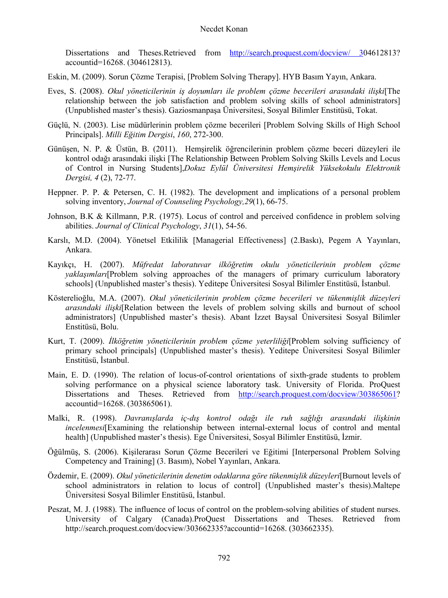Dissertations and Theses.Retrieved from http://search.proquest.com/docview/ 304612813? accountid=16268. (304612813).

- Eskin, M. (2009). Sorun Çözme Terapisi, [Problem Solving Therapy]. HYB Basım Yayın, Ankara.
- Eves, S. (2008). *Okul yöneticilerinin iş doyumları ile problem çözme becerileri arasındaki ilişki*[The relationship between the job satisfaction and problem solving skills of school administrators] (Unpublished master's thesis). Gaziosmanpaşa Üniversitesi, Sosyal Bilimler Enstitüsü, Tokat.
- Güçlü, N. (2003). Lise müdürlerinin problem çözme becerileri [Problem Solving Skills of High School Principals]. *Milli Eğitim Dergisi*, *160*, 272-300.
- Günüşen, N. P. & Üstün, B. (2011). Hemşirelik öğrencilerinin problem çözme beceri düzeyleri ile kontrol odağı arasındaki ilişki [The Relationship Between Problem Solving Skills Levels and Locus of Control in Nursing Students],*Dokuz Eylül Üniversitesi Hemşirelik Yüksekokulu Elektronik Dergisi, 4* (2), 72-77.
- Heppner. P. P. & Petersen, C. H. (1982). The development and implications of a personal problem solving inventory, *Journal of Counseling Psychology,29*(1), 66-75.
- Johnson, B.K & Killmann, P.R. (1975). Locus of control and perceived confidence in problem solving abilities. *Journal of Clinical Psychology*, *31*(1), 54-56.
- Karslı, M.D. (2004). Yönetsel Etkililik [Managerial Effectiveness] (2.Baskı), Pegem A Yayınları, Ankara.
- Kayıkçı, H. (2007). *Müfredat laboratuvar ilköğretim okulu yöneticilerinin problem çözme yaklaşımları*[Problem solving approaches of the managers of primary curriculum laboratory schools] (Unpublished master's thesis). Yeditepe Üniversitesi Sosyal Bilimler Enstitüsü, İstanbul.
- Kösterelioğlu, M.A. (2007). *Okul yöneticilerinin problem çözme becerileri ve tükenmişlik düzeyleri arasındaki ilişki*[Relation between the levels of problem solving skills and burnout of school administrators] (Unpublished master's thesis). Abant İzzet Baysal Üniversitesi Sosyal Bilimler Enstitüsü, Bolu.
- Kurt, T. (2009). *İlköğretim yöneticilerinin problem çözme yeterliliği*[Problem solving sufficiency of primary school principals] (Unpublished master's thesis). Yeditepe Üniversitesi Sosyal Bilimler Enstitüsü, İstanbul.
- Main, E. D. (1990). The relation of locus-of-control orientations of sixth-grade students to problem solving performance on a physical science laboratory task. University of Florida. ProQuest Dissertations and Theses. Retrieved from http://search.proquest.com/docview/303865061? accountid=16268. (303865061).
- Malki, R. (1998). *Davranışlarda iç-dış kontrol odağı ile ruh sağlığı arasındaki ilişkinin incelenmesi*[Examining the relationship between internal-external locus of control and mental health] (Unpublished master's thesis). Ege Üniversitesi, Sosyal Bilimler Enstitüsü, İzmir.
- Öğülmüş, S. (2006). Kişilerarası Sorun Çözme Becerileri ve Eğitimi [Interpersonal Problem Solving Competency and Training] (3. Basım), Nobel Yayınları, Ankara.
- Özdemir, E. (2009). *Okul yöneticilerinin denetim odaklarına göre tükenmişlik düzeyleri*[Burnout levels of school administrators in relation to locus of control] (Unpublished master's thesis).Maltepe Üniversitesi Sosyal Bilimler Enstitüsü, İstanbul.
- Peszat, M. J. (1988). The influence of locus of control on the problem-solving abilities of student nurses. University of Calgary (Canada).ProQuest Dissertations and Theses. Retrieved from http://search.proquest.com/docview/303662335?accountid=16268. (303662335).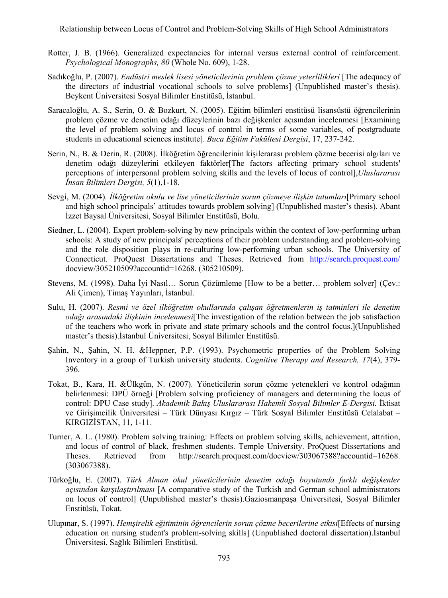Relationship between Locus of Control and Problem-Solving Skills of High School Administrators

- Rotter, J. B. (1966). Generalized expectancies for internal versus external control of reinforcement. *Psychological Monographs, 80* (Whole No. 609), 1-28.
- Sadıkoğlu, P. (2007). *Endüstri meslek lisesi yöneticilerinin problem çözme yeterlilikleri* [The adequacy of the directors of industrial vocational schools to solve problems] (Unpublished master's thesis). Beykent Üniversitesi Sosyal Bilimler Enstitüsü, İstanbul.
- Saracaloğlu, A. S., Serin, O. & Bozkurt, N. (2005). Eğitim bilimleri enstitüsü lisansüstü öğrencilerinin problem çözme ve denetim odağı düzeylerinin bazı değişkenler açısından incelenmesi [Examining the level of problem solving and locus of control in terms of some variables, of postgraduate students in educational sciences institute]. *Buca Eğitim Fakültesi Dergisi*, 17, 237-242.
- Serin, N., B. & Derin, R. (2008). İlköğretim öğrencilerinin kişilerarası problem çözme becerisi algıları ve denetim odağı düzeylerini etkileyen faktörler[The factors affecting primary school students' perceptions of interpersonal problem solving skills and the levels of locus of control],*Uluslararası İnsan Bilimleri Dergisi, 5*(1),1-18.
- Sevgi, M. (2004). *İlköğretim okulu ve lise yöneticilerinin sorun çözmeye ilişkin tutumları*[Primary school and high school principals' attitudes towards problem solving] (Unpublished master's thesis). Abant İzzet Baysal Üniversitesi, Sosyal Bilimler Enstitüsü, Bolu.
- Siedner, L. (2004). Expert problem-solving by new principals within the context of low-performing urban schools: A study of new principals' perceptions of their problem understanding and problem-solving and the role disposition plays in re-culturing low-performing urban schools. The University of Connecticut. ProQuest Dissertations and Theses. Retrieved from http://search.proquest.com/ docview/305210509?accountid=16268. (305210509).
- Stevens, M. (1998). Daha İyi Nasıl… Sorun Çözümleme [How to be a better… problem solver] (Çev.: Ali Çimen), Timaş Yayınları, İstanbul.
- Sulu, H. (2007). *Resmi ve özel ilköğretim okullarında çalışan öğretmenlerin iş tatminleri ile denetim odağı arasındaki ilişkinin incelenmesi*[The investigation of the relation between the job satisfaction of the teachers who work in private and state primary schools and the control focus.](Unpublished master's thesis).İstanbul Üniversitesi, Sosyal Bilimler Enstitüsü.
- Şahin, N., Şahin, N. H. &Heppner, P.P. (1993). Psychometric properties of the Problem Solving Inventory in a group of Turkish university students. *Cognitive Therapy and Research, 17*(4), 379- 396.
- Tokat, B., Kara, H. &Ülkgün, N. (2007). Yöneticilerin sorun çözme yetenekleri ve kontrol odağının belirlenmesi: DPÜ örneği [Problem solving proficiency of managers and determining the locus of control: DPU Case study]. *Akademik Bakış Uluslararası Hakemli Sosyal Bilimler E-Dergisi.* İktisat ve Girişimcilik Üniversitesi – Türk Dünyası Kırgız – Türk Sosyal Bilimler Enstitüsü Celalabat – KIRGIZİSTAN, 11, 1-11.
- Turner, A. L. (1980). Problem solving training: Effects on problem solving skills, achievement, attrition, and locus of control of black, freshmen students. Temple University. ProQuest Dissertations and Theses. Retrieved from http://search.proquest.com/docview/303067388?accountid=16268. (303067388).
- Türkoğlu, E. (2007). *Türk Alman okul yöneticilerinin denetim odağı boyutunda farklı değişkenler açısından karşılaştırılması* [A comparative study of the Turkish and German school administrators on locus of control] (Unpublished master's thesis).Gaziosmanpaşa Üniversitesi, Sosyal Bilimler Enstitüsü, Tokat.
- Ulupınar, S. (1997). *Hemşirelik eğitiminin öğrencilerin sorun çözme becerilerine etkisi*[Effects of nursing education on nursing student's problem-solving skills] (Unpublished doctoral dissertation).İstanbul Üniversitesi, Sağlık Bilimleri Enstitüsü.